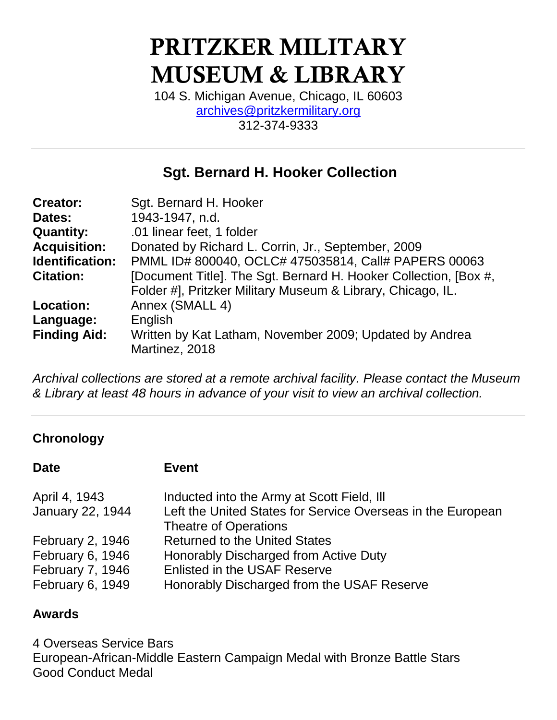# **PRITZKER MILITARY MUSEUM & LIBRARY**

104 S. Michigan Avenue, Chicago, IL 60603 [archives@pritzkermilitary.org](mailto:archives@pritzkermilitary.org)  312-374-9333

# **Sgt. Bernard H. Hooker Collection**

| <b>Creator:</b>        | Sgt. Bernard H. Hooker                                                                                                          |
|------------------------|---------------------------------------------------------------------------------------------------------------------------------|
| Dates:                 | 1943-1947, n.d.                                                                                                                 |
| <b>Quantity:</b>       | .01 linear feet, 1 folder                                                                                                       |
| <b>Acquisition:</b>    | Donated by Richard L. Corrin, Jr., September, 2009                                                                              |
| <b>Identification:</b> | PMML ID# 800040, OCLC# 475035814, Call# PAPERS 00063                                                                            |
| <b>Citation:</b>       | [Document Title]. The Sgt. Bernard H. Hooker Collection, [Box #,<br>Folder #], Pritzker Military Museum & Library, Chicago, IL. |
| <b>Location:</b>       | Annex (SMALL 4)                                                                                                                 |
| Language:              | English                                                                                                                         |
| <b>Finding Aid:</b>    | Written by Kat Latham, November 2009; Updated by Andrea<br>Martinez, 2018                                                       |

*Archival collections are stored at a remote archival facility. Please contact the Museum & Library at least 48 hours in advance of your visit to view an archival collection.*

### **Chronology**

**Date Event**

| April 4, 1943    | Inducted into the Army at Scott Field, Ill                  |
|------------------|-------------------------------------------------------------|
| January 22, 1944 | Left the United States for Service Overseas in the European |
|                  | <b>Theatre of Operations</b>                                |
| February 2, 1946 | <b>Returned to the United States</b>                        |
| February 6, 1946 | Honorably Discharged from Active Duty                       |
| February 7, 1946 | <b>Enlisted in the USAF Reserve</b>                         |
| February 6, 1949 | Honorably Discharged from the USAF Reserve                  |

### **Awards**

4 Overseas Service Bars European-African-Middle Eastern Campaign Medal with Bronze Battle Stars Good Conduct Medal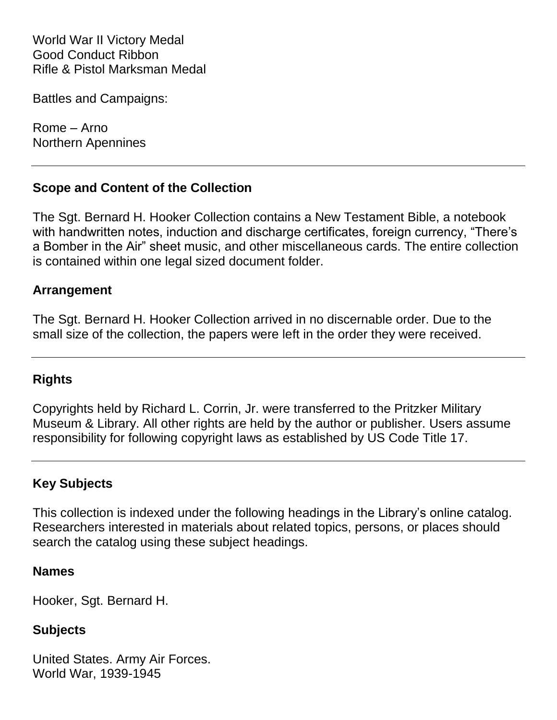World War II Victory Medal Good Conduct Ribbon Rifle & Pistol Marksman Medal

Battles and Campaigns:

Rome – Arno Northern Apennines

#### **Scope and Content of the Collection**

The Sgt. Bernard H. Hooker Collection contains a New Testament Bible, a notebook with handwritten notes, induction and discharge certificates, foreign currency, "There's a Bomber in the Air" sheet music, and other miscellaneous cards. The entire collection is contained within one legal sized document folder.

#### **Arrangement**

The Sgt. Bernard H. Hooker Collection arrived in no discernable order. Due to the small size of the collection, the papers were left in the order they were received.

#### **Rights**

Copyrights held by Richard L. Corrin, Jr. were transferred to the Pritzker Military Museum & Library. All other rights are held by the author or publisher. Users assume responsibility for following copyright laws as established by US Code Title 17.

#### **Key Subjects**

This collection is indexed under the following headings in the Library's online catalog. Researchers interested in materials about related topics, persons, or places should search the catalog using these subject headings.

#### **Names**

Hooker, Sgt. Bernard H.

#### **Subjects**

United States. Army Air Forces. World War, 1939-1945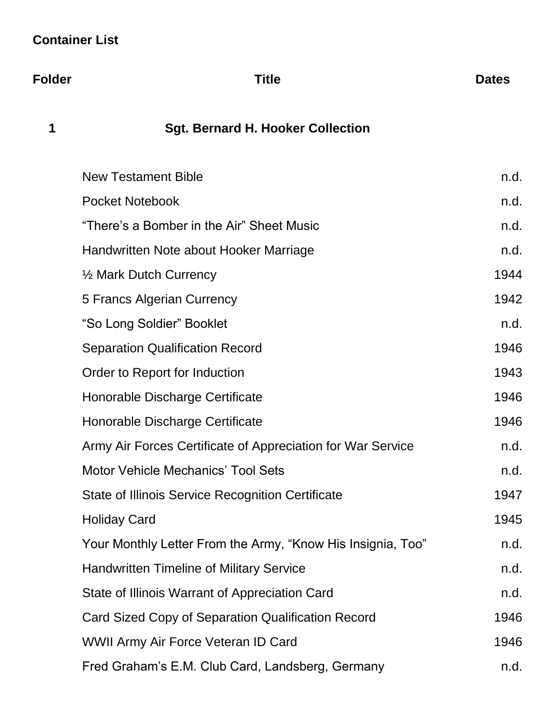# **Container List**

**Folder Title Dates**

# **1 Sgt. Bernard H. Hooker Collection**

| <b>New Testament Bible</b>                                  |      |
|-------------------------------------------------------------|------|
| <b>Pocket Notebook</b>                                      |      |
| "There's a Bomber in the Air" Sheet Music                   | n.d. |
| Handwritten Note about Hooker Marriage                      | n.d. |
| 1/2 Mark Dutch Currency                                     | 1944 |
| 5 Francs Algerian Currency                                  |      |
| "So Long Soldier" Booklet                                   | n.d. |
| <b>Separation Qualification Record</b>                      | 1946 |
| Order to Report for Induction                               | 1943 |
| Honorable Discharge Certificate                             | 1946 |
| Honorable Discharge Certificate                             | 1946 |
| Army Air Forces Certificate of Appreciation for War Service | n.d. |
| Motor Vehicle Mechanics' Tool Sets                          | n.d. |
| <b>State of Illinois Service Recognition Certificate</b>    | 1947 |
| <b>Holiday Card</b>                                         | 1945 |
| Your Monthly Letter From the Army, "Know His Insignia, Too" | n.d. |
| <b>Handwritten Timeline of Military Service</b>             | n.d. |
| State of Illinois Warrant of Appreciation Card              |      |
| Card Sized Copy of Separation Qualification Record          |      |
| WWII Army Air Force Veteran ID Card                         |      |
| Fred Graham's E.M. Club Card, Landsberg, Germany            |      |